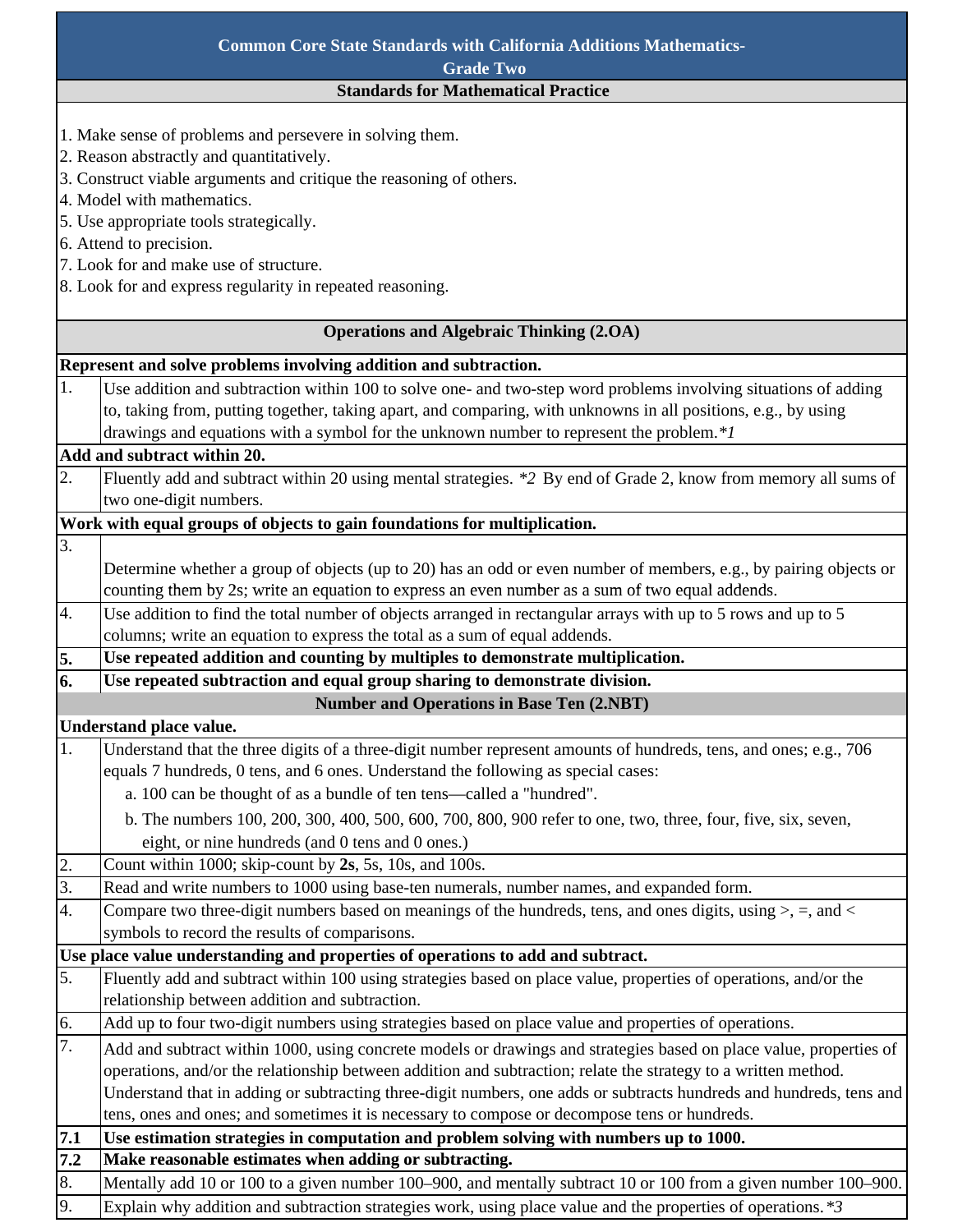| <b>Common Core State Standards with California Additions Mathematics-</b>       |                                                                                                                     |  |
|---------------------------------------------------------------------------------|---------------------------------------------------------------------------------------------------------------------|--|
| <b>Grade Two</b>                                                                |                                                                                                                     |  |
| <b>Standards for Mathematical Practice</b>                                      |                                                                                                                     |  |
|                                                                                 |                                                                                                                     |  |
| 1. Make sense of problems and persevere in solving them.                        |                                                                                                                     |  |
| 2. Reason abstractly and quantitatively.                                        |                                                                                                                     |  |
| 3. Construct viable arguments and critique the reasoning of others.             |                                                                                                                     |  |
| 4. Model with mathematics.                                                      |                                                                                                                     |  |
| 5. Use appropriate tools strategically.                                         |                                                                                                                     |  |
| 6. Attend to precision.                                                         |                                                                                                                     |  |
| 7. Look for and make use of structure.                                          |                                                                                                                     |  |
| 8. Look for and express regularity in repeated reasoning.                       |                                                                                                                     |  |
| <b>Operations and Algebraic Thinking (2.OA)</b>                                 |                                                                                                                     |  |
|                                                                                 | Represent and solve problems involving addition and subtraction.                                                    |  |
| 1.                                                                              | Use addition and subtraction within 100 to solve one- and two-step word problems involving situations of adding     |  |
|                                                                                 | to, taking from, putting together, taking apart, and comparing, with unknowns in all positions, e.g., by using      |  |
|                                                                                 | drawings and equations with a symbol for the unknown number to represent the problem.*/                             |  |
| Add and subtract within 20.                                                     |                                                                                                                     |  |
| 2.                                                                              | Fluently add and subtract within 20 using mental strategies. *2 By end of Grade 2, know from memory all sums of     |  |
|                                                                                 | two one-digit numbers.                                                                                              |  |
| Work with equal groups of objects to gain foundations for multiplication.       |                                                                                                                     |  |
| 3.                                                                              |                                                                                                                     |  |
|                                                                                 | Determine whether a group of objects (up to 20) has an odd or even number of members, e.g., by pairing objects or   |  |
|                                                                                 | counting them by 2s; write an equation to express an even number as a sum of two equal addends.                     |  |
| 4.                                                                              | Use addition to find the total number of objects arranged in rectangular arrays with up to 5 rows and up to 5       |  |
|                                                                                 | columns; write an equation to express the total as a sum of equal addends.                                          |  |
| 5.                                                                              | Use repeated addition and counting by multiples to demonstrate multiplication.                                      |  |
| 6.                                                                              | Use repeated subtraction and equal group sharing to demonstrate division.                                           |  |
|                                                                                 | <b>Number and Operations in Base Ten (2.NBT)</b>                                                                    |  |
| Understand place value.                                                         |                                                                                                                     |  |
| 1.                                                                              | Understand that the three digits of a three-digit number represent amounts of hundreds, tens, and ones; e.g., 706   |  |
|                                                                                 | equals 7 hundreds, 0 tens, and 6 ones. Understand the following as special cases:                                   |  |
|                                                                                 | a. 100 can be thought of as a bundle of ten tens-called a "hundred".                                                |  |
|                                                                                 | b. The numbers 100, 200, 300, 400, 500, 600, 700, 800, 900 refer to one, two, three, four, five, six, seven,        |  |
|                                                                                 | eight, or nine hundreds (and 0 tens and 0 ones.)                                                                    |  |
| 2.                                                                              | Count within 1000; skip-count by 2s, 5s, 10s, and 100s.                                                             |  |
| 3.                                                                              | Read and write numbers to 1000 using base-ten numerals, number names, and expanded form.                            |  |
| 4.                                                                              | Compare two three-digit numbers based on meanings of the hundreds, tens, and ones digits, using $>$ , =, and <      |  |
|                                                                                 | symbols to record the results of comparisons.                                                                       |  |
| Use place value understanding and properties of operations to add and subtract. |                                                                                                                     |  |
| 5.                                                                              | Fluently add and subtract within 100 using strategies based on place value, properties of operations, and/or the    |  |
|                                                                                 | relationship between addition and subtraction.                                                                      |  |
| 6.                                                                              | Add up to four two-digit numbers using strategies based on place value and properties of operations.                |  |
| 7.                                                                              | Add and subtract within 1000, using concrete models or drawings and strategies based on place value, properties of  |  |
|                                                                                 | operations, and/or the relationship between addition and subtraction; relate the strategy to a written method.      |  |
|                                                                                 | Understand that in adding or subtracting three-digit numbers, one adds or subtracts hundreds and hundreds, tens and |  |
|                                                                                 | tens, ones and ones; and sometimes it is necessary to compose or decompose tens or hundreds.                        |  |
| 7.1                                                                             | Use estimation strategies in computation and problem solving with numbers up to 1000.                               |  |
| 7.2                                                                             | Make reasonable estimates when adding or subtracting.                                                               |  |
| 8.                                                                              | Mentally add 10 or 100 to a given number 100-900, and mentally subtract 10 or 100 from a given number 100-900.      |  |
| 9.                                                                              | Explain why addition and subtraction strategies work, using place value and the properties of operations. *3        |  |